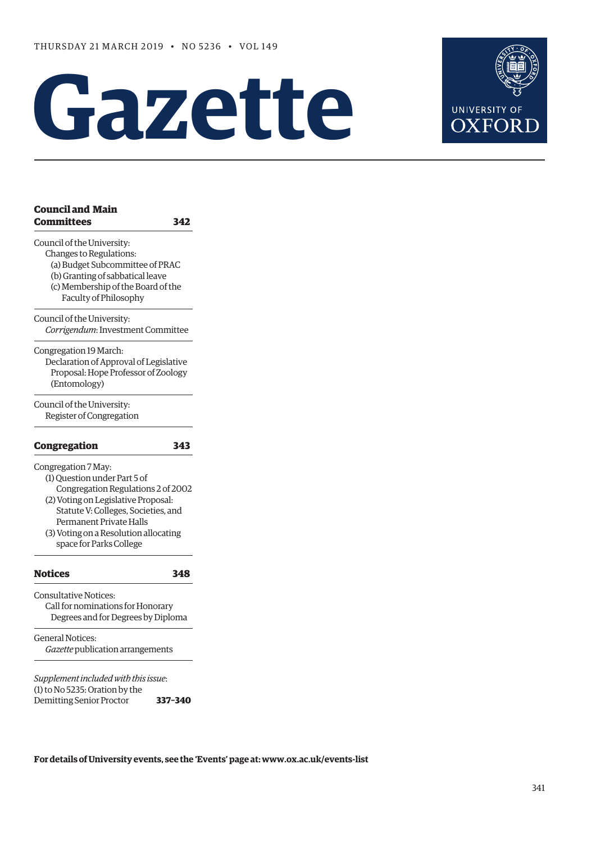# **Gazette**



| <b>Council and Main</b> |  |
|-------------------------|--|
| <b>Committees</b>       |  |

**[Committees](#page-1-0) 342**

[Council of the University:](#page-1-0)

- [Changes to Regulations](#page-1-0):
- [\(a\) Budget Subcommittee of PRAC](#page-1-0) [\(b\) Granting of sabbatical leave](#page-1-0)
- [\(c\) Membership of the Board of the](#page-1-0)  [Faculty of Philosophy](#page-1-0)
- [Council of the University:](#page-2-0)

*Corrigendum*: [Investment Committee](#page-2-0)

[Congregation 19 March](#page-2-0): [Declaration of Approval of Legislative](#page-2-0)   [Proposal: Hope Professor of Zoology](#page-2-0)   [\(Entomology\)](#page-2-0)

[Council of the University:](#page-2-0) [Register of Congregation](#page-2-0)

#### **[Congregation 343](#page-2-0)**

[Congregation 7 May](#page-2-0):

- (1) [Question under Part 5 of](#page-5-0)  [Congregation Regulations 2 of 2002](#page-5-0) [\(2\) Voting on Legislative Proposal:](#page-2-0)  [Statute V: Colleges, Societies, and](#page-2-0)
- [Permanent Private Halls](#page-2-0) [\(3\) Voting on a Resolution allocating](#page-5-0)  [space](#page-5-0) for Parks College

#### **[Notices](#page-6-0) 348**

[Consultative Notices](#page-6-0): [Call for nominations for Honorary](#page-6-0)   [Degrees and for Degrees by Diploma](#page-6-0)

[General Notices](#page-7-0): *Gazette* [publication arrangements](#page-7-0) 

*Supplement included with this issue*: (1) to No 5235: Oration by the Demitting Senior Proctor **337–340**

**For details of University events, see the 'Events' page at: [www.ox.ac.uk/events-list](http://www.ox.ac.uk/events-list)**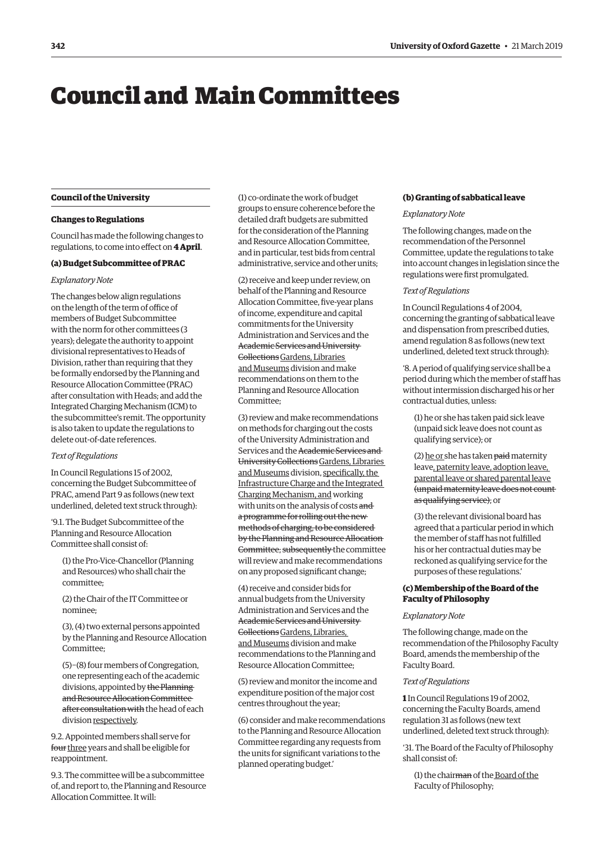## <span id="page-1-0"></span>Council and Main Committees

#### **Council of the University**

#### **Changes to Regulations**

Council has made the following changes to regulations, to come into effect on **4 April**.

#### **(a) Budget Subcommittee of PRAC**

#### *Explanatory Note*

The changes below align regulations on the length of the term of office of members of Budget Subcommittee with the norm for other committees (3 years); delegate the authority to appoint divisional representatives to Heads of Division, rather than requiring that they be formally endorsed by the Planning and Resource Allocation Committee (PRAC) after consultation with Heads; and add the Integrated Charging Mechanism (ICM) to the subcommittee's remit. The opportunity is also taken to update the regulations to delete out-of-date references.

#### *Text of Regulations*

In Council Regulations 15 of 2002, concerning the Budget Subcommittee of PRAC, amend Part 9 as follows (new text underlined, deleted text struck through):

'9.1. The Budget Subcommittee of the Planning and Resource Allocation Committee shall consist of:

(1) the Pro-Vice-Chancellor (Planning and Resources) who shall chair the committee;

(2) the Chair of the IT Committee or nominee;

(3), (4) two external persons appointed by the Planning and Resource Allocation Committee;

(5)−(8) four members of Congregation, one representing each of the academic divisions, appointed by the Planning and Resource Allocation Committee after consultation with the head of each division respectively.

9.2. Appointed members shall serve for four three years and shall be eligible for reappointment.

9.3. The committee will be a subcommittee of, and report to, the Planning and Resource Allocation Committee. It will:

(1) co-ordinate the work of budget groups to ensure coherence before the detailed draft budgets are submitted for the consideration of the Planning and Resource Allocation Committee, and in particular, test bids from central administrative, service and other units;

(2) receive and keep under review, on behalf of the Planning and Resource Allocation Committee, five-year plans of income, expenditure and capital commitments for the University Administration and Services and the Academic Services and University CollectionsGardens, Libraries and Museums division and make recommendations on them to the Planning and Resource Allocation Committee;

(3) review and make recommendations on methods for charging out the costs of the University Administration and Services and the Academic Services and University Collections Gardens, Libraries and Museums division, specifically, the Infrastructure Charge and the Integrated Charging Mechanism, and working with units on the analysis of costs and a programme for rolling out the new methods of charging, to be considered by the Planning and Resource Allocation Committee; subsequently the committee will review and make recommendations on any proposed significant change;

(4) receive and consider bids for annual budgets from the University Administration and Services and the Academic Services and University Gollections Gardens, Libraries, and Museums division and make recommendations to the Planning and Resource Allocation Committee;

(5) review and monitor the income and expenditure position of the major cost centres throughout the year;

(6) consider and make recommendations to the Planning and Resource Allocation Committee regarding any requests from the units for significant variations to the planned operating budget.'

#### **(b) Granting of sabbatical leave**

#### *Explanatory Note*

The following changes, made on the recommendation of the Personnel Committee, update the regulations to take into account changes in legislation since the regulations were first promulgated.

#### *Text of Regulations*

In Council Regulations 4 of 2004, concerning the granting of sabbatical leave and dispensation from prescribed duties, amend regulation 8 as follows (new text underlined, deleted text struck through):

'8. A period of qualifying service shall be a period during which the member of staff has without intermission discharged his or her contractual duties, unless:

(1) he or she has taken paid sick leave (unpaid sick leave does not count as qualifying service); or

(2) he or she has taken paid maternity leave, paternity leave, adoption leave, parental leave or shared parental leave (unpaid maternity leave does not count as qualifying service); or

(3) the relevant divisional board has agreed that a particular period in which the member of staff has not fulfilled his or her contractual duties may be reckoned as qualifying service for the purposes of these regulations.'

#### **(c) Membership of the Board of the Faculty of Philosophy**

#### *Explanatory Note*

The following change, made on the recommendation of the Philosophy Faculty Board, amends the membership of the Faculty Board.

#### *Text of Regulations*

**1** In Council Regulations 19 of 2002, concerning the Faculty Boards, amend regulation 31 as follows (new text underlined, deleted text struck through):

'31. The Board of the Faculty of Philosophy shall consist of:

(1) the chairman of the Board of the Faculty of Philosophy;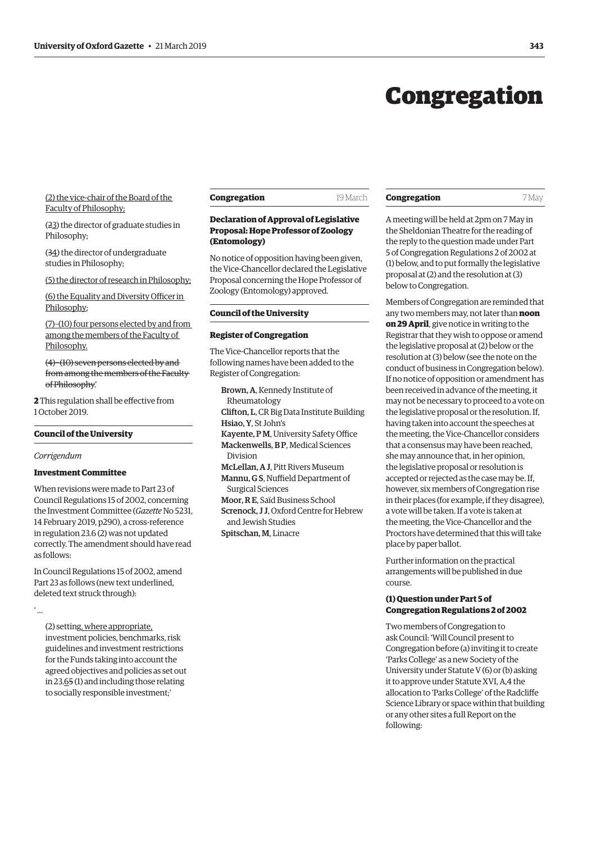## Congregation

#### <span id="page-2-0"></span>(2) the vice-chair of the Board of the Faculty of Philosophy;

(23) the director of graduate studies in Philosophy;

(34) the director of undergraduate studies in Philosophy;

(5) the director of research in Philosophy;

(6) the Equality and Diversity Officer in Philosophy;

(7)–(10) four persons elected by and from among the members of the Faculty of Philosophy.

(4)−(10) seven persons elected by and from among the members of the Faculty of Philosophy.'

**2** This regulation shall be effective from 1 October 2019.

#### **Council of the University**

*Corrigendum*

#### **Investment Committee**

When revisions were made to Part 23 of Council Regulations 15 of 2002, concerning the Investment Committee (*Gazette* No 5231, [14 February 2019, p290\), a cross-reference](https://gazette.web.ox.ac.uk/sites/default/files/gazette/documents/media/14_february_2019_-_no_5231_redacted.pdf#page=2)  in regulation 23.6 (2) was not updated correctly. The amendment should have read as follows:

In Council Regulations 15 of 2002, amend Part 23 as follows (new text underlined, deleted text struck through):

' …

(2) setting, where appropriate, investment policies, benchmarks, risk guidelines and investment restrictions for the Funds taking into account the agreed objectives and policies as set out in 23.65 (1) and including those relating to socially responsible investment;'

**Congregation** 19 March

#### **Declaration of Approval of Legislative Proposal: Hope Professor of Zoology (Entomology)**

No notice of opposition having been given, the Vice-Chancellor declared the Legislative Proposal concerning the Hope Professor of Zoology (Entomology) approved.

#### **Council of the University**

#### **Register of Congregation**

The Vice-Chancellor reports that the following names have been added to the Register of Congregation:

Brown, A, Kennedy Institute of Rheumatology Clifton, L, CR Big Data Institute Building Hsiao, Y, St John's Kayente, P M, University Safety Office Mackenwells, B P, Medical Sciences Division McLellan, A J, Pitt Rivers Museum Mannu, G S, Nuffield Department of Surgical Sciences Moor, R E, Saïd Business School Screnock, J J, Oxford Centre for Hebrew and Jewish Studies Spitschan, M, Linacre

### **Congregation** 7 May

A meeting will be held at 2pm on 7 May in the Sheldonian Theatre for the reading of the reply to the question made under Part 5 of Congregation Regulations 2 of 2002 at (1) below, and to put formally the legislative proposal at (2) and the resolution at (3) below to Congregation.

Members of Congregation are reminded that any two members may, not later than **noon on 29 April**, give notice in writing to the Registrar that they wish to oppose or amend the legislative proposal at (2) below or the resolution at (3) below (see the note on the conduct of business in Congregation below). If no notice of opposition or amendment has been received in advance of the meeting, it may not be necessary to proceed to a vote on the legislative proposal or the resolution. If, having taken into account the speeches at the meeting, the Vice-Chancellor considers that a consensus may have been reached, she may announce that, in her opinion, the legislative proposal or resolution is accepted or rejected as the case may be. If, however, six members of Congregation rise in their places (for example, if they disagree), a vote will be taken. If a vote is taken at the meeting, the Vice-Chancellor and the Proctors have determined that this will take place by paper ballot.

Further information on the practical arrangements will be published in due course.

#### **(1) Question under Part 5 of Congregation Regulations 2 of 2002**

Two members of Congregation to ask Council: 'Will Council present to Congregation before (a) inviting it to create 'Parks College' as a new Society of the University under Statute V (6) or (b) asking it to approve under Statute XVI, A,4 the allocation to 'Parks College' of the Radcliffe Science Library or space within that building or any other sites a full Report on the following: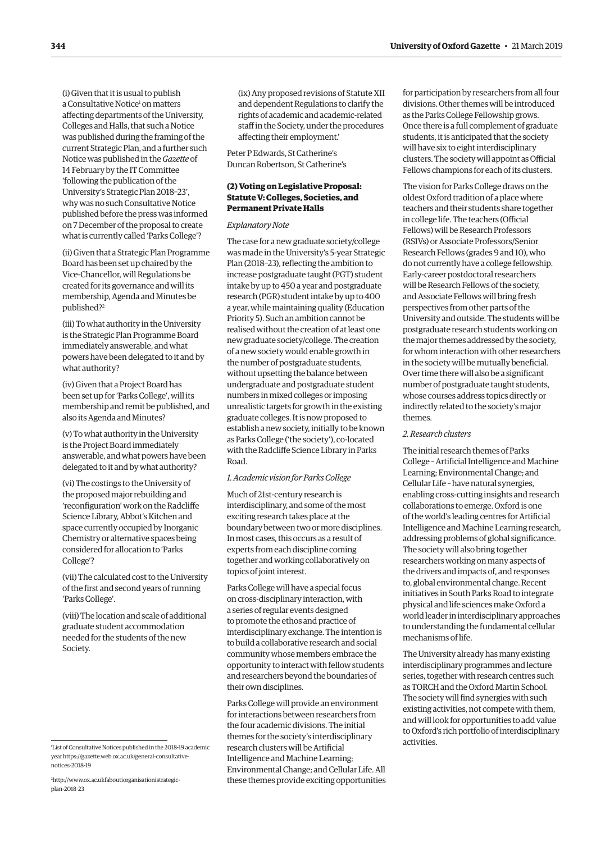(i) Given that it is usual to publish a Consultative Notice<sup>1</sup> on matters affecting departments of the University, Colleges and Halls, that such a Notice was published during the framing of the current Strategic Plan, and a further such Notice was published in the *Gazette* of 14 February by the IT Committee 'following the publication of the University's Strategic Plan 2018–23', why was no such Consultative Notice published before the press was informed on 7 December of the proposal to create what is currently called 'Parks College'?

(ii) Given that a Strategic Plan Programme Board has been set up chaired by the Vice-Chancellor, will Regulations be created for its governance and will its membership, Agenda and Minutes be published?2

(iii) To what authority in the University is the Strategic Plan Programme Board immediately answerable, and what powers have been delegated to it and by what authority?

(iv) Given that a Project Board has been set up for 'Parks College', will its membership and remit be published, and also its Agenda and Minutes?

(v) To what authority in the University is the Project Board immediately answerable, and what powers have been delegated to it and by what authority?

(vi) The costings to the University of the proposed major rebuilding and 'reconfiguration' work on the Radcliffe Science Library, Abbot's Kitchen and space currently occupied by Inorganic Chemistry or alternative spaces being considered for allocation to 'Parks College'?

(vii) The calculated cost to the University of the first and second years of running 'Parks College'.

(viii) The location and scale of additional graduate student accommodation needed for the students of the new Society.

2 [http://www.ox.ac.ukfaboutiorganisationistrategic](http://www.ox.ac.ukfaboutiorganisationistrategic-plan-2018-23)[plan-2018-23](http://www.ox.ac.ukfaboutiorganisationistrategic-plan-2018-23)

(ix) Any proposed revisions of Statute XII and dependent Regulations to clarify the rights of academic and academic-related staff in the Society, under the procedures affecting their employment.'

Peter P Edwards, St Catherine's Duncan Robertson, St Catherine's

#### **(2) Voting on Legislative Proposal: Statute V: Colleges, Societies, and Permanent Private Halls**

#### *Explanatory Note*

The case for a new graduate society/college was made in the University's 5-year Strategic Plan (2018–23), reflecting the ambition to increase postgraduate taught (PGT) student intake by up to 450 a year and postgraduate research (PGR) student intake by up to 400 a year, while maintaining quality (Education Priority 5). Such an ambition cannot be realised without the creation of at least one new graduate society/college. The creation of a new society would enable growth in the number of postgraduate students, without upsetting the balance between undergraduate and postgraduate student numbers in mixed colleges or imposing unrealistic targets for growth in the existing graduate colleges. It is now proposed to establish a new society, initially to be known as Parks College ('the society'), co-located with the Radcliffe Science Library in Parks Road.

#### *1. Academic vision for Parks College*

Much of 21st-century research is interdisciplinary, and some of the most exciting research takes place at the boundary between two or more disciplines. In most cases, this occurs as a result of experts from each discipline coming together and working collaboratively on topics of joint interest.

Parks College will have a special focus on cross-disciplinary interaction, with a series of regular events designed to promote the ethos and practice of interdisciplinary exchange. The intention is to build a collaborative research and social community whose members embrace the opportunity to interact with fellow students and researchers beyond the boundaries of their own disciplines.

Parks College will provide an environment for interactions between researchers from the four academic divisions. The initial themes for the society's interdisciplinary research clusters will be Artificial Intelligence and Machine Learning; Environmental Change; and Cellular Life. All these themes provide exciting opportunities activities. <sup>1</sup> List of Consultative Notices published in the 2018-19 academic

for participation by researchers from all four divisions. Other themes will be introduced as the Parks College Fellowship grows. Once there is a full complement of graduate students, it is anticipated that the society will have six to eight interdisciplinary clusters. The society will appoint as Official Fellows champions for each of its clusters.

The vision for Parks College draws on the oldest Oxford tradition of a place where teachers and their students share together in college life. The teachers (Official Fellows) will be Research Professors (RSIVs) or Associate Professors/Senior Research Fellows (grades 9 and 10), who do not currently have a college fellowship. Early-career postdoctoral researchers will be Research Fellows of the society, and Associate Fellows will bring fresh perspectives from other parts of the University and outside. The students will be postgraduate research students working on the major themes addressed by the society, for whom interaction with other researchers in the society will be mutually beneficial. Over time there will also be a significant number of postgraduate taught students, whose courses address topics directly or indirectly related to the society's major themes.

#### *2. Research clusters*

The initial research themes of Parks College – Artificial Intelligence and Machine Learning; Environmental Change; and Cellular Life – have natural synergies, enabling cross-cutting insights and research collaborations to emerge. Oxford is one of the world's leading centres for Artificial Intelligence and Machine Learning research, addressing problems of global significance. The society will also bring together researchers working on many aspects of the drivers and impacts of, and responses to, global environmental change. Recent initiatives in South Parks Road to integrate physical and life sciences make Oxford a world leader in interdisciplinary approaches to understanding the fundamental cellular mechanisms of life.

The University already has many existing interdisciplinary programmes and lecture series, together with research centres such as TORCH and the Oxford Martin School. The society will find synergies with such existing activities, not compete with them, and will look for opportunities to add value to Oxford's rich portfolio of interdisciplinary

year [https://gazette.web.ox.ac.uk/general-consultative](https://gazette.web.ox.ac.uk/general-consultative-notices-2018-19)[notices-2018-19](https://gazette.web.ox.ac.uk/general-consultative-notices-2018-19)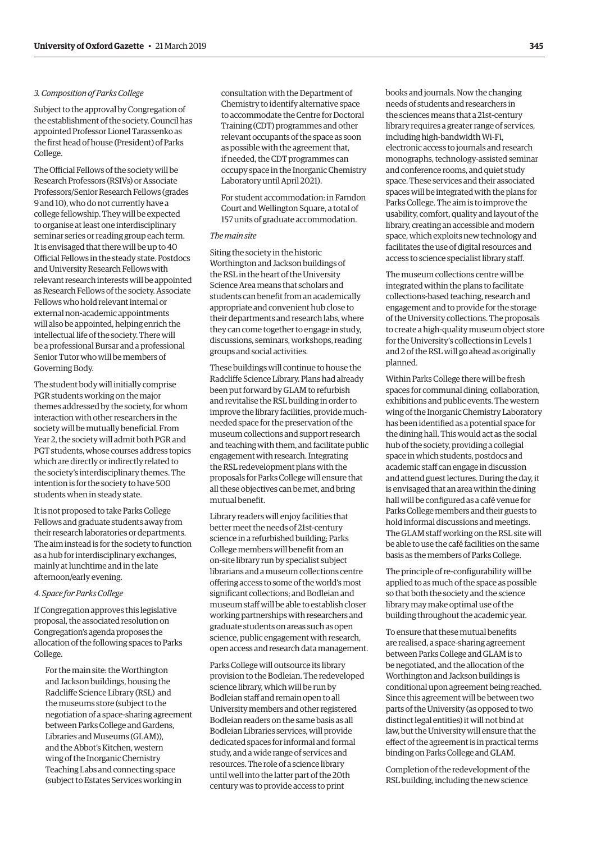#### *3. Composition of Parks College*

Subject to the approval by Congregation of the establishment of the society, Council has appointed Professor Lionel Tarassenko as the first head of house (President) of Parks College.

The Official Fellows of the society will be Research Professors (RSIVs) or Associate Professors/Senior Research Fellows (grades 9 and 10), who do not currently have a college fellowship. They will be expected to organise at least one interdisciplinary seminar series or reading group each term. It is envisaged that there will be up to 40 Official Fellows in the steady state. Postdocs and University Research Fellows with relevant research interests will be appointed as Research Fellows of the society. Associate Fellows who hold relevant internal or external non-academic appointments will also be appointed, helping enrich the intellectual life of the society. There will be a professional Bursar and a professional Senior Tutor who will be members of Governing Body.

The student body will initially comprise PGR students working on the major themes addressed by the society, for whom interaction with other researchers in the society will be mutually beneficial. From Year 2, the society will admit both PGR and PGT students, whose courses address topics which are directly or indirectly related to the society's interdisciplinary themes. The intention is for the society to have 500 students when in steady state.

It is not proposed to take Parks College Fellows and graduate students away from their research laboratories or departments. The aim instead is for the society to function as a hub for interdisciplinary exchanges, mainly at lunchtime and in the late afternoon/early evening.

#### *4. Space for Parks College*

If Congregation approves this legislative proposal, the associated resolution on Congregation's agenda proposes the allocation of the following spaces to Parks College.

For the main site: the Worthington and Jackson buildings, housing the Radcliffe Science Library (RSL) and the museums store (subject to the negotiation of a space-sharing agreement between Parks College and Gardens, Libraries and Museums (GLAM)), and the Abbot's Kitchen, western wing of the Inorganic Chemistry Teaching Labs and connecting space (subject to Estates Services working in

consultation with the Department of Chemistry to identify alternative space to accommodate the Centre for Doctoral Training (CDT) programmes and other relevant occupants of the space as soon as possible with the agreement that, if needed, the CDT programmes can occupy space in the Inorganic Chemistry Laboratory until April 2021).

For student accommodation: in Farndon Court and Wellington Square, a total of 157 units of graduate accommodation.

#### *The main site*

Siting the society in the historic Worthington and Jackson buildings of the RSL in the heart of the University Science Area means that scholars and students can benefit from an academically appropriate and convenient hub close to their departments and research labs, where they can come together to engage in study, discussions, seminars, workshops, reading groups and social activities.

These buildings will continue to house the Radcliffe Science Library. Plans had already been put forward by GLAM to refurbish and revitalise the RSL building in order to improve the library facilities, provide muchneeded space for the preservation of the museum collections and support research and teaching with them, and facilitate public engagement with research. Integrating the RSL redevelopment plans with the proposals for Parks College will ensure that all these objectives can be met, and bring mutual benefit.

Library readers will enjoy facilities that better meet the needs of 21st-century science in a refurbished building; Parks College members will benefit from an on-site library run by specialist subject librarians and a museum collections centre offering access to some of the world's most significant collections; and Bodleian and museum staff will be able to establish closer working partnerships with researchers and graduate students on areas such as open science, public engagement with research, open access and research data management.

Parks College will outsource its library provision to the Bodleian. The redeveloped science library, which will be run by Bodleian staff and remain open to all University members and other registered Bodleian readers on the same basis as all Bodleian Libraries services, will provide dedicated spaces for informal and formal study, and a wide range of services and resources. The role of a science library until well into the latter part of the 20th century was to provide access to print

books and journals. Now the changing needs of students and researchers in the sciences means that a 21st-century library requires a greater range of services, including high-bandwidth Wi-Fi, electronic access to journals and research monographs, technology-assisted seminar and conference rooms, and quiet study space. These services and their associated spaces will be integrated with the plans for Parks College. The aim is to improve the usability, comfort, quality and layout of the library, creating an accessible and modern space, which exploits new technology and facilitates the use of digital resources and access to science specialist library staff.

The museum collections centre will be integrated within the plans to facilitate collections-based teaching, research and engagement and to provide for the storage of the University collections. The proposals to create a high-quality museum object store for the University's collections in Levels 1 and 2 of the RSL will go ahead as originally planned.

Within Parks College there will be fresh spaces for communal dining, collaboration, exhibitions and public events. The western wing of the Inorganic Chemistry Laboratory has been identified as a potential space for the dining hall. This would act as the social hub of the society, providing a collegial space in which students, postdocs and academic staff can engage in discussion and attend guest lectures. During the day, it is envisaged that an area within the dining hall will be configured as a café venue for Parks College members and their guests to hold informal discussions and meetings. The GLAM staff working on the RSL site will be able to use the café facilities on the same basis as the members of Parks College.

The principle of re-configurability will be applied to as much of the space as possible so that both the society and the science library may make optimal use of the building throughout the academic year.

To ensure that these mutual benefits are realised, a space-sharing agreement between Parks College and GLAM is to be negotiated, and the allocation of the Worthington and Jackson buildings is conditional upon agreement being reached. Since this agreement will be between two parts of the University (as opposed to two distinct legal entities) it will not bind at law, but the University will ensure that the effect of the agreement is in practical terms binding on Parks College and GLAM.

Completion of the redevelopment of the RSL building, including the new science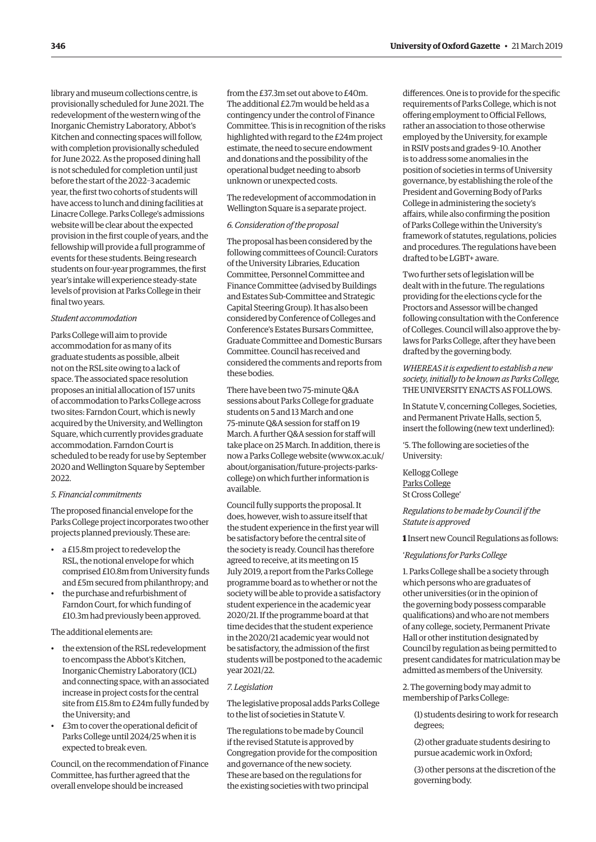<span id="page-5-0"></span>library and museum collections centre, is provisionally scheduled for June 2021. The redevelopment of the western wing of the Inorganic Chemistry Laboratory, Abbot's Kitchen and connecting spaces will follow, with completion provisionally scheduled for June 2022. As the proposed dining hall is not scheduled for completion until just before the start of the 2022–3 academic year, the first two cohorts of students will have access to lunch and dining facilities at Linacre College. Parks College's admissions website will be clear about the expected provision in the first couple of years, and the fellowship will provide a full programme of events for these students. Being research students on four-year programmes, the first year's intake will experience steady-state levels of provision at Parks College in their final two years.

#### *Student accommodation*

Parks College will aim to provide accommodation for as many of its graduate students as possible, albeit not on the RSL site owing to a lack of space. The associated space resolution proposes an initial allocation of 157 units of accommodation to Parks College across two sites: Farndon Court, which is newly acquired by the University, and Wellington Square, which currently provides graduate accommodation. Farndon Court is scheduled to be ready for use by September 2020 and Wellington Square by September 2022.

#### *5. Financial commitments*

The proposed financial envelope for the Parks College project incorporates two other projects planned previously. These are:

- a £15.8m project to redevelop the RSL, the notional envelope for which comprised £10.8m from University funds and £5m secured from philanthropy; and
- the purchase and refurbishment of Farndon Court, for which funding of £10.3m had previously been approved.

The additional elements are:

- the extension of the RSL redevelopment to encompass the Abbot's Kitchen, Inorganic Chemistry Laboratory (ICL) and connecting space, with an associated increase in project costs for the central site from £15.8m to £24m fully funded by the University; and
- £3m to cover the operational deficit of Parks College until 2024/25 when it is expected to break even.

Council, on the recommendation of Finance Committee, has further agreed that the overall envelope should be increased

from the £37.3m set out above to £40m. The additional £2.7m would be held as a contingency under the control of Finance Committee. This is in recognition of the risks highlighted with regard to the £24m project estimate, the need to secure endowment and donations and the possibility of the operational budget needing to absorb unknown or unexpected costs.

The redevelopment of accommodation in Wellington Square is a separate project.

#### *6. Consideration of the proposal*

The proposal has been considered by the following committees of Council: Curators of the University Libraries, Education Committee, Personnel Committee and Finance Committee (advised by Buildings and Estates Sub-Committee and Strategic Capital Steering Group). It has also been considered by Conference of Colleges and Conference's Estates Bursars Committee, Graduate Committee and Domestic Bursars Committee. Council has received and considered the comments and reports from these bodies.

There have been two 75-minute Q&A sessions about Parks College for graduate students on 5 and 13 March and one 75-minute Q&A session for staff on 19 March. A further Q&A session for staff will take place on 25 March. In addition, there is [now a Parks College website \(www.ox.ac.uk/](www.ox.ac.uk/about/organisation/future-projects-parks-college) about/organisation/future-projects-parkscollege) on which further information is available.

Council fully supports the proposal. It does, however, wish to assure itself that the student experience in the first year will be satisfactory before the central site of the society is ready. Council has therefore agreed to receive, at its meeting on 15 July 2019, a report from the Parks College programme board as to whether or not the society will be able to provide a satisfactory student experience in the academic year 2020/21. If the programme board at that time decides that the student experience in the 2020/21 academic year would not be satisfactory, the admission of the first students will be postponed to the academic year 2021/22.

#### *7. Legislation*

The legislative proposal adds Parks College to the list of societies in Statute V.

The regulations to be made by Council if the revised Statute is approved by Congregation provide for the composition and governance of the new society. These are based on the regulations for the existing societies with two principal

differences. One is to provide for the specific requirements of Parks College, which is not offering employment to Official Fellows, rather an association to those otherwise employed by the University, for example in RSIV posts and grades 9–10. Another is to address some anomalies in the position of societies in terms of University governance, by establishing the role of the President and Governing Body of Parks College in administering the society's affairs, while also confirming the position of Parks College within the University's framework of statutes, regulations, policies and procedures. The regulations have been drafted to be LGBT+ aware.

Two further sets of legislation will be dealt with in the future. The regulations providing for the elections cycle for the Proctors and Assessor will be changed following consultation with the Conference of Colleges. Council will also approve the bylaws for Parks College, after they have been drafted by the governing body.

*WHEREAS it is expedient to establish a new society, initially to be known as Parks College,*  THE UNIVERSITY ENACTS AS FOLLOWS.

In Statute V, concerning Colleges, Societies, and Permanent Private Halls, section 5, insert the following (new text underlined):

'5. The following are societies of the University:

Kellogg College Parks College St Cross College'

*Regulations to be made by Council if the Statute is approved*

**1** Insert new Council Regulations as follows:

'*Regulations for Parks College*

1. Parks College shall be a society through which persons who are graduates of other universities (or in the opinion of the governing body possess comparable qualifications) and who are not members of any college, society, Permanent Private Hall or other institution designated by Council by regulation as being permitted to present candidates for matriculation may be admitted as members of the University.

2. The governing body may admit to membership of Parks College:

(1) students desiring to work for research degrees;

(2) other graduate students desiring to pursue academic work in Oxford;

(3) other persons at the discretion of the governing body.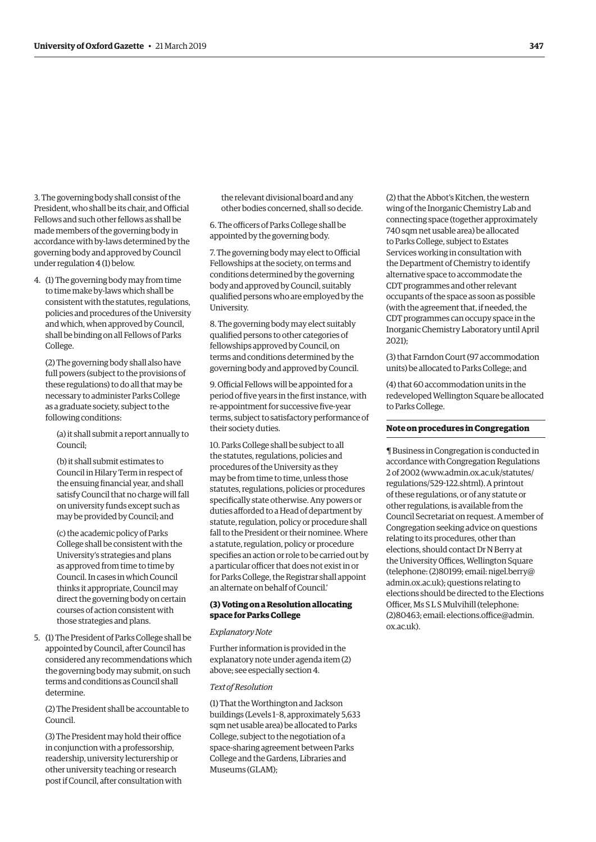<span id="page-6-0"></span>3. The governing body shall consist of the President, who shall be its chair, and Official Fellows and such other fellows as shall be made members of the governing body in accordance with by-laws determined by the governing body and approved by Council under regulation 4 (1) below.

4. (1) The governing body may from time to time make by-laws which shall be consistent with the statutes, regulations, policies and procedures of the University and which, when approved by Council, shall be binding on all Fellows of Parks College.

(2) The governing body shall also have full powers (subject to the provisions of these regulations) to do all that may be necessary to administer Parks College as a graduate society, subject to the following conditions:

(a) it shall submit a report annually to Council;

(b) it shall submit estimates to Council in Hilary Term in respect of the ensuing financial year, and shall satisfy Council that no charge will fall on university funds except such as may be provided by Council; and

(c) the academic policy of Parks College shall be consistent with the University's strategies and plans as approved from time to time by Council. In cases in which Council thinks it appropriate, Council may direct the governing body on certain courses of action consistent with those strategies and plans.

5. (1) The President of Parks College shall be appointed by Council, after Council has considered any recommendations which the governing body may submit, on such terms and conditions as Council shall determine.

(2) The President shall be accountable to Council.

(3) The President may hold their office in conjunction with a professorship, readership, university lecturership or other university teaching or research post if Council, after consultation with the relevant divisional board and any other bodies concerned, shall so decide.

6. The officers of Parks College shall be appointed by the governing body.

7. The governing body may elect to Official Fellowships at the society, on terms and conditions determined by the governing body and approved by Council, suitably qualified persons who are employed by the University.

8. The governing body may elect suitably qualified persons to other categories of fellowships approved by Council, on terms and conditions determined by the governing body and approved by Council.

9. Official Fellows will be appointed for a period of five years in the first instance, with re-appointment for successive five-year terms, subject to satisfactory performance of their society duties.

10. Parks College shall be subject to all the statutes, regulations, policies and procedures of the University as they may be from time to time, unless those statutes, regulations, policies or procedures specifically state otherwise. Any powers or duties afforded to a Head of department by statute, regulation, policy or procedure shall fall to the President or their nominee. Where a statute, regulation, policy or procedure specifies an action or role to be carried out by a particular officer that does not exist in or for Parks College, the Registrar shall appoint an alternate on behalf of Council.'

#### **(3) Voting on a Resolution allocating space for Parks College**

#### *Explanatory Note*

Further information is provided in the explanatory note under agenda item (2) above; see especially section 4.

#### *Text of Resolution*

(1) That the Worthington and Jackson buildings (Levels 1–8, approximately 5,633 sqm net usable area) be allocated to Parks College, subject to the negotiation of a space-sharing agreement between Parks College and the Gardens, Libraries and Museums (GLAM);

(2) that the Abbot's Kitchen, the western wing of the Inorganic Chemistry Lab and connecting space (together approximately 740 sqm net usable area) be allocated to Parks College, subject to Estates Services working in consultation with the Department of Chemistry to identify alternative space to accommodate the CDT programmes and other relevant occupants of the space as soon as possible (with the agreement that, if needed, the CDT programmes can occupy space in the Inorganic Chemistry Laboratory until April 2021);

(3) that Farndon Court (97 accommodation units) be allocated to Parks College; and

(4) that 60 accommodation units in the redeveloped Wellington Square be allocated to Parks College.

#### **Note on procedures in Congregation**

¶ Business in Congregation is conducted in accordance with Congregation Regulations 2 of 2002 [\(www.admin.ox.ac.uk/statutes/](http://www.admin.ox.ac.uk/statutes/regulations/529-122.shtml) [regulations/529-122.shtml\). A](http://www.admin.ox.ac.uk/statutes/regulations/529-122.shtml) printout of these regulations, or of any statute or other regulations, is available from the Council Secretariat on request. A member of Congregation seeking advice on questions relating to its procedures, other than elections, should contact Dr N Berry at the University Offices, Wellington Square [\(telephone: \(2\)80199; email: nigel.berry@](mailto:nigel.berry@admin.ox.ac.uk) admin.ox.ac.uk); questions relating to elections should be directed to the Elections Officer, Ms S L S Mulvihill (telephone: [\(2\)80463; email: elections.office@admin.](mailto:elections.office@admin.ox.ac.uk) ox.ac.uk).